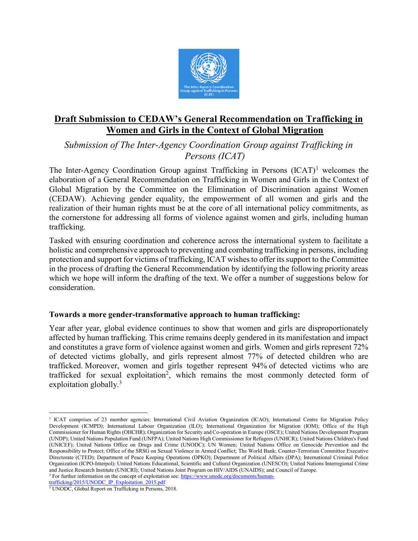

# Draft Submission to CEDAW's General Recommendation on Trafficking in Women and Girls in the Context of Global Migration

Submission of The Inter-Agency Coordination Group against Trafficking in Persons (ICAT)

The Inter-Agency Coordination Group against Trafficking in Persons  $(ICAT)^1$  welcomes the elaboration of a General Recommendation on Trafficking in Women and Girls in the Context of Global Migration by the Committee on the Elimination of Discrimination against Women (CEDAW). Achieving gender equality, the empowerment of all women and girls and the realization of their human rights must be at the core of all international policy commitments, as the cornerstone for addressing all forms of violence against women and girls, including human trafficking.

Tasked with ensuring coordination and coherence across the international system to facilitate a holistic and comprehensive approach to preventing and combating trafficking in persons, including protection and support for victims of trafficking, ICAT wishes to offer its support to the Committee in the process of drafting the General Recommendation by identifying the following priority areas which we hope will inform the drafting of the text. We offer a number of suggestions below for consideration.

#### Towards a more gender-transformative approach to human trafficking:

Year after year, global evidence continues to show that women and girls are disproportionately affected by human trafficking. This crime remains deeply gendered in its manifestation and impact and constitutes a grave form of violence against women and girls. Women and girls represent 72% of detected victims globally, and girls represent almost 77% of detected children who are trafficked. Moreover, women and girls together represent 94% of detected victims who are trafficked for sexual exploitation<sup>2</sup>, which remains the most commonly detected form of exploitation globally.<sup>3</sup>

trafficking/2015/UNODC\_IP\_Exploitation\_2015.pdf

 $\overline{a}$ 

<sup>&</sup>lt;sup>1</sup> ICAT comprises of 23 member agencies: International Civil Aviation Organization (ICAO); International Centre for Migration Policy Development (ICMPD); International Labour Organization (ILO); International Organization for Migration (IOM); Office of the High Commissioner for Human Rights (OHCHR); Organization for Security and Co-operation in Europe (OSCE); United Nations Development Program (UNDP); United Nations Population Fund (UNFPA); United Nations High Commissioner for Refugees (UNHCR); United Nations Children's Fund (UNICEF); United Nations Office on Drugs and Crime (UNODC); UN Women; United Nations Office on Genocide Prevention and the Responsibility to Protect; Office of the SRSG on Sexual Violence in Armed Conflict; The World Bank; Counter-Terrorism Committee Executive Directorate (CTED); Department of Peace Keeping Operations (DPKO); Department of Political Affairs (DPA); International Criminal Police Organization (ICPO-Interpol); United Nations Educational, Scientific and Cultural Organization (UNESCO); United Nations Interregional Crime and Justice Research Institute (UNICRI); United Nations Joint Program on HIV/AIDS (UNAIDS); and Council of Europe. <sup>2</sup> For further information on the concept of exploitation see: https://www.unodc.org/documents/human-

<sup>&</sup>lt;sup>3</sup> UNODC, Global Report on Trafficking in Persons, 2018.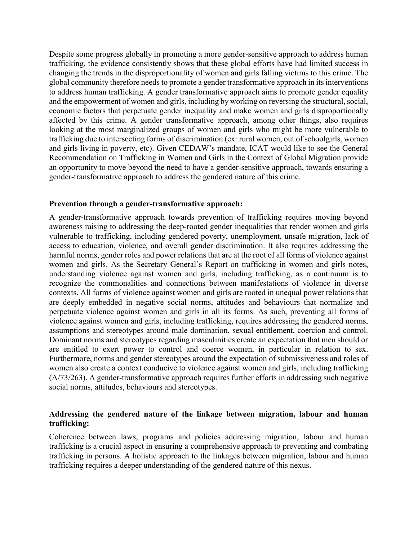Despite some progress globally in promoting a more gender-sensitive approach to address human trafficking, the evidence consistently shows that these global efforts have had limited success in changing the trends in the disproportionality of women and girls falling victims to this crime. The global community therefore needs to promote a gender transformative approach in its interventions to address human trafficking. A gender transformative approach aims to promote gender equality and the empowerment of women and girls, including by working on reversing the structural, social, economic factors that perpetuate gender inequality and make women and girls disproportionally affected by this crime. A gender transformative approach, among other things, also requires looking at the most marginalized groups of women and girls who might be more vulnerable to trafficking due to intersecting forms of discrimination (ex: rural women, out of schoolgirls, women and girls living in poverty, etc). Given CEDAW's mandate, ICAT would like to see the General Recommendation on Trafficking in Women and Girls in the Context of Global Migration provide an opportunity to move beyond the need to have a gender-sensitive approach, towards ensuring a gender-transformative approach to address the gendered nature of this crime.

#### Prevention through a gender-transformative approach:

A gender-transformative approach towards prevention of trafficking requires moving beyond awareness raising to addressing the deep-rooted gender inequalities that render women and girls vulnerable to trafficking, including gendered poverty, unemployment, unsafe migration, lack of access to education, violence, and overall gender discrimination. It also requires addressing the harmful norms, gender roles and power relations that are at the root of all forms of violence against women and girls. As the Secretary General's Report on trafficking in women and girls notes, understanding violence against women and girls, including trafficking, as a continuum is to recognize the commonalities and connections between manifestations of violence in diverse contexts. All forms of violence against women and girls are rooted in unequal power relations that are deeply embedded in negative social norms, attitudes and behaviours that normalize and perpetuate violence against women and girls in all its forms. As such, preventing all forms of violence against women and girls, including trafficking, requires addressing the gendered norms, assumptions and stereotypes around male domination, sexual entitlement, coercion and control. Dominant norms and stereotypes regarding masculinities create an expectation that men should or are entitled to exert power to control and coerce women, in particular in relation to sex. Furthermore, norms and gender stereotypes around the expectation of submissiveness and roles of women also create a context conducive to violence against women and girls, including trafficking (A/73/263). A gender-transformative approach requires further efforts in addressing such negative social norms, attitudes, behaviours and stereotypes.

#### Addressing the gendered nature of the linkage between migration, labour and human trafficking:

Coherence between laws, programs and policies addressing migration, labour and human trafficking is a crucial aspect in ensuring a comprehensive approach to preventing and combating trafficking in persons. A holistic approach to the linkages between migration, labour and human trafficking requires a deeper understanding of the gendered nature of this nexus.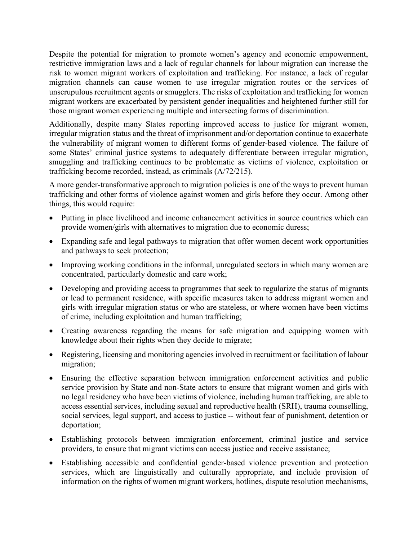Despite the potential for migration to promote women's agency and economic empowerment, restrictive immigration laws and a lack of regular channels for labour migration can increase the risk to women migrant workers of exploitation and trafficking. For instance, a lack of regular migration channels can cause women to use irregular migration routes or the services of unscrupulous recruitment agents or smugglers. The risks of exploitation and trafficking for women migrant workers are exacerbated by persistent gender inequalities and heightened further still for those migrant women experiencing multiple and intersecting forms of discrimination.

Additionally, despite many States reporting improved access to justice for migrant women, irregular migration status and the threat of imprisonment and/or deportation continue to exacerbate the vulnerability of migrant women to different forms of gender-based violence. The failure of some States' criminal justice systems to adequately differentiate between irregular migration, smuggling and trafficking continues to be problematic as victims of violence, exploitation or trafficking become recorded, instead, as criminals (A/72/215).

A more gender-transformative approach to migration policies is one of the ways to prevent human trafficking and other forms of violence against women and girls before they occur. Among other things, this would require:

- Putting in place livelihood and income enhancement activities in source countries which can provide women/girls with alternatives to migration due to economic duress;
- Expanding safe and legal pathways to migration that offer women decent work opportunities and pathways to seek protection;
- Improving working conditions in the informal, unregulated sectors in which many women are concentrated, particularly domestic and care work;
- Developing and providing access to programmes that seek to regularize the status of migrants or lead to permanent residence, with specific measures taken to address migrant women and girls with irregular migration status or who are stateless, or where women have been victims of crime, including exploitation and human trafficking;
- Creating awareness regarding the means for safe migration and equipping women with knowledge about their rights when they decide to migrate;
- Registering, licensing and monitoring agencies involved in recruitment or facilitation of labour migration;
- Ensuring the effective separation between immigration enforcement activities and public service provision by State and non-State actors to ensure that migrant women and girls with no legal residency who have been victims of violence, including human trafficking, are able to access essential services, including sexual and reproductive health (SRH), trauma counselling, social services, legal support, and access to justice -- without fear of punishment, detention or deportation;
- Establishing protocols between immigration enforcement, criminal justice and service providers, to ensure that migrant victims can access justice and receive assistance;
- Establishing accessible and confidential gender-based violence prevention and protection services, which are linguistically and culturally appropriate, and include provision of information on the rights of women migrant workers, hotlines, dispute resolution mechanisms,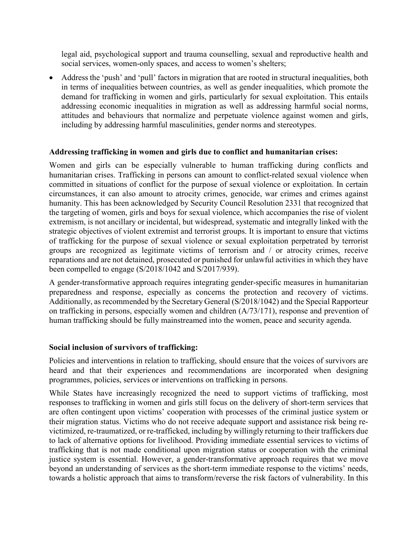legal aid, psychological support and trauma counselling, sexual and reproductive health and social services, women-only spaces, and access to women's shelters;

 Address the 'push' and 'pull' factors in migration that are rooted in structural inequalities, both in terms of inequalities between countries, as well as gender inequalities, which promote the demand for trafficking in women and girls, particularly for sexual exploitation. This entails addressing economic inequalities in migration as well as addressing harmful social norms, attitudes and behaviours that normalize and perpetuate violence against women and girls, including by addressing harmful masculinities, gender norms and stereotypes.

#### Addressing trafficking in women and girls due to conflict and humanitarian crises:

Women and girls can be especially vulnerable to human trafficking during conflicts and humanitarian crises. Trafficking in persons can amount to conflict-related sexual violence when committed in situations of conflict for the purpose of sexual violence or exploitation. In certain circumstances, it can also amount to atrocity crimes, genocide, war crimes and crimes against humanity. This has been acknowledged by Security Council Resolution 2331 that recognized that the targeting of women, girls and boys for sexual violence, which accompanies the rise of violent extremism, is not ancillary or incidental, but widespread, systematic and integrally linked with the strategic objectives of violent extremist and terrorist groups. It is important to ensure that victims of trafficking for the purpose of sexual violence or sexual exploitation perpetrated by terrorist groups are recognized as legitimate victims of terrorism and / or atrocity crimes, receive reparations and are not detained, prosecuted or punished for unlawful activities in which they have been compelled to engage (S/2018/1042 and S/2017/939).

A gender-transformative approach requires integrating gender-specific measures in humanitarian preparedness and response, especially as concerns the protection and recovery of victims. Additionally, as recommended by the Secretary General (S/2018/1042) and the Special Rapporteur on trafficking in persons, especially women and children (A/73/171), response and prevention of human trafficking should be fully mainstreamed into the women, peace and security agenda.

### Social inclusion of survivors of trafficking:

Policies and interventions in relation to trafficking, should ensure that the voices of survivors are heard and that their experiences and recommendations are incorporated when designing programmes, policies, services or interventions on trafficking in persons.

While States have increasingly recognized the need to support victims of trafficking, most responses to trafficking in women and girls still focus on the delivery of short-term services that are often contingent upon victims' cooperation with processes of the criminal justice system or their migration status. Victims who do not receive adequate support and assistance risk being revictimized, re-traumatized, or re-trafficked, including by willingly returning to their traffickers due to lack of alternative options for livelihood. Providing immediate essential services to victims of trafficking that is not made conditional upon migration status or cooperation with the criminal justice system is essential. However, a gender-transformative approach requires that we move beyond an understanding of services as the short-term immediate response to the victims' needs, towards a holistic approach that aims to transform/reverse the risk factors of vulnerability. In this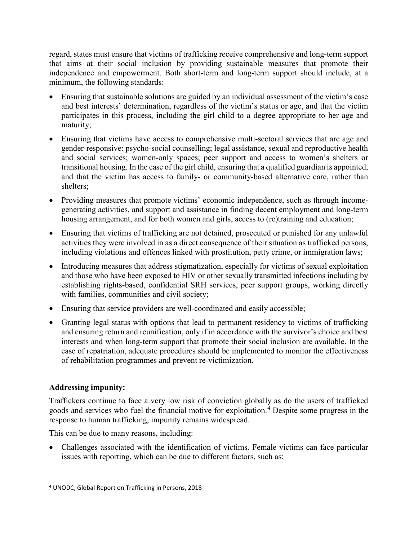regard, states must ensure that victims of trafficking receive comprehensive and long-term support that aims at their social inclusion by providing sustainable measures that promote their independence and empowerment. Both short-term and long-term support should include, at a minimum, the following standards:

- Ensuring that sustainable solutions are guided by an individual assessment of the victim's case and best interests' determination, regardless of the victim's status or age, and that the victim participates in this process, including the girl child to a degree appropriate to her age and maturity;
- Ensuring that victims have access to comprehensive multi-sectoral services that are age and gender-responsive: psycho-social counselling; legal assistance, sexual and reproductive health and social services; women-only spaces; peer support and access to women's shelters or transitional housing. In the case of the girl child, ensuring that a qualified guardian is appointed, and that the victim has access to family- or community-based alternative care, rather than shelters;
- Providing measures that promote victims' economic independence, such as through incomegenerating activities, and support and assistance in finding decent employment and long-term housing arrangement, and for both women and girls, access to (re)training and education;
- Ensuring that victims of trafficking are not detained, prosecuted or punished for any unlawful activities they were involved in as a direct consequence of their situation as trafficked persons, including violations and offences linked with prostitution, petty crime, or immigration laws;
- Introducing measures that address stigmatization, especially for victims of sexual exploitation and those who have been exposed to HIV or other sexually transmitted infections including by establishing rights-based, confidential SRH services, peer support groups, working directly with families, communities and civil society;
- Ensuring that service providers are well-coordinated and easily accessible;
- Granting legal status with options that lead to permanent residency to victims of trafficking and ensuring return and reunification, only if in accordance with the survivor's choice and best interests and when long-term support that promote their social inclusion are available. In the case of repatriation, adequate procedures should be implemented to monitor the effectiveness of rehabilitation programmes and prevent re-victimization.

## Addressing impunity:

Traffickers continue to face a very low risk of conviction globally as do the users of trafficked goods and services who fuel the financial motive for exploitation.<sup>4</sup> Despite some progress in the response to human trafficking, impunity remains widespread.

This can be due to many reasons, including:

 Challenges associated with the identification of victims. Female victims can face particular issues with reporting, which can be due to different factors, such as:

<sup>4</sup> UNODC, Global Report on Trafficking in Persons, 2018